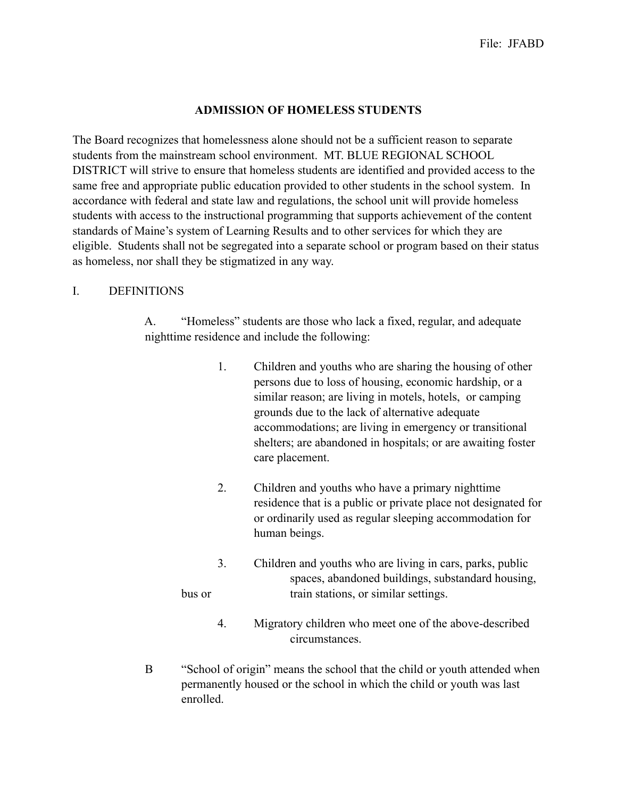## **ADMISSION OF HOMELESS STUDENTS**

The Board recognizes that homelessness alone should not be a sufficient reason to separate students from the mainstream school environment. MT. BLUE REGIONAL SCHOOL DISTRICT will strive to ensure that homeless students are identified and provided access to the same free and appropriate public education provided to other students in the school system. In accordance with federal and state law and regulations, the school unit will provide homeless students with access to the instructional programming that supports achievement of the content standards of Maine's system of Learning Results and to other services for which they are eligible. Students shall not be segregated into a separate school or program based on their status as homeless, nor shall they be stigmatized in any way.

#### I. DEFINITIONS

 A. "Homeless" students are those who lack a fixed, regular, and adequate nighttime residence and include the following:

- 1. Children and youths who are sharing the housing of other persons due to loss of housing, economic hardship, or a similar reason; are living in motels, hotels, or camping grounds due to the lack of alternative adequate accommodations; are living in emergency or transitional shelters; are abandoned in hospitals; or are awaiting foster care placement.
- 2. Children and youths who have a primary nighttime residence that is a public or private place not designated for or ordinarily used as regular sleeping accommodation for human beings.
- 3. Children and youths who are living in cars, parks, public spaces, abandoned buildings, substandard housing, bus or train stations, or similar settings.
	- 4. Migratory children who meet one of the above-described circumstances.
- B "School of origin" means the school that the child or youth attended when permanently housed or the school in which the child or youth was last enrolled.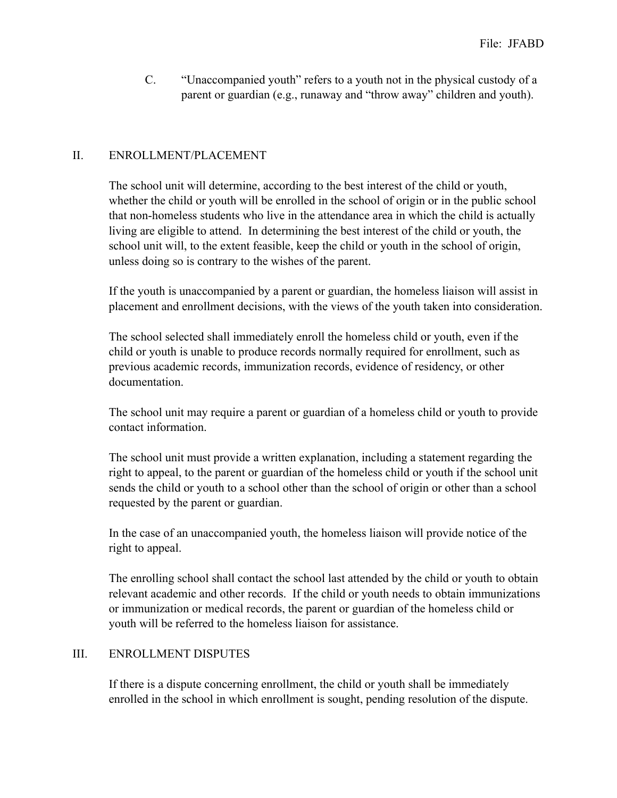C. "Unaccompanied youth" refers to a youth not in the physical custody of a parent or guardian (e.g., runaway and "throw away" children and youth).

# II. ENROLLMENT/PLACEMENT

The school unit will determine, according to the best interest of the child or youth, whether the child or youth will be enrolled in the school of origin or in the public school that non-homeless students who live in the attendance area in which the child is actually living are eligible to attend. In determining the best interest of the child or youth, the school unit will, to the extent feasible, keep the child or youth in the school of origin, unless doing so is contrary to the wishes of the parent.

If the youth is unaccompanied by a parent or guardian, the homeless liaison will assist in placement and enrollment decisions, with the views of the youth taken into consideration.

The school selected shall immediately enroll the homeless child or youth, even if the child or youth is unable to produce records normally required for enrollment, such as previous academic records, immunization records, evidence of residency, or other documentation.

The school unit may require a parent or guardian of a homeless child or youth to provide contact information.

The school unit must provide a written explanation, including a statement regarding the right to appeal, to the parent or guardian of the homeless child or youth if the school unit sends the child or youth to a school other than the school of origin or other than a school requested by the parent or guardian.

In the case of an unaccompanied youth, the homeless liaison will provide notice of the right to appeal.

The enrolling school shall contact the school last attended by the child or youth to obtain relevant academic and other records. If the child or youth needs to obtain immunizations or immunization or medical records, the parent or guardian of the homeless child or youth will be referred to the homeless liaison for assistance.

#### III. ENROLLMENT DISPUTES

If there is a dispute concerning enrollment, the child or youth shall be immediately enrolled in the school in which enrollment is sought, pending resolution of the dispute.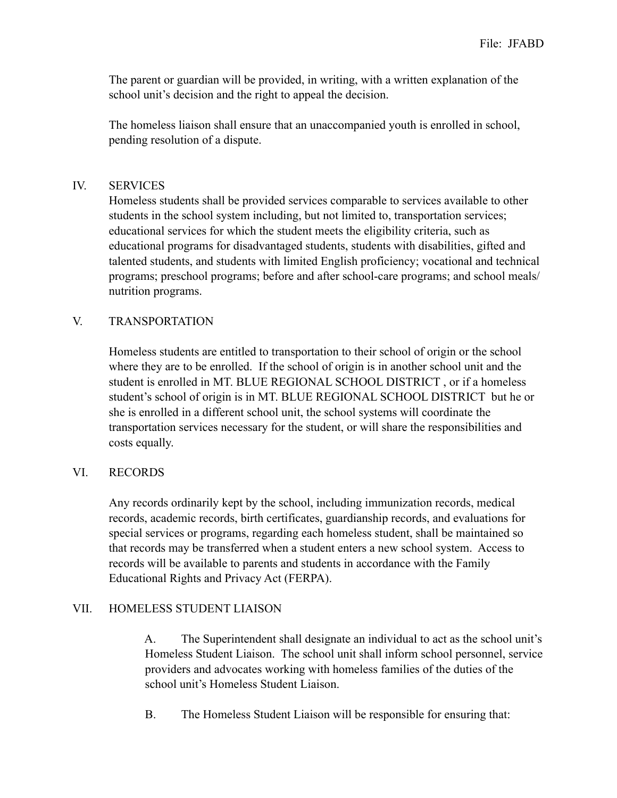The parent or guardian will be provided, in writing, with a written explanation of the school unit's decision and the right to appeal the decision.

The homeless liaison shall ensure that an unaccompanied youth is enrolled in school, pending resolution of a dispute.

## IV. SERVICES

Homeless students shall be provided services comparable to services available to other students in the school system including, but not limited to, transportation services; educational services for which the student meets the eligibility criteria, such as educational programs for disadvantaged students, students with disabilities, gifted and talented students, and students with limited English proficiency; vocational and technical programs; preschool programs; before and after school-care programs; and school meals/ nutrition programs.

### V. TRANSPORTATION

Homeless students are entitled to transportation to their school of origin or the school where they are to be enrolled. If the school of origin is in another school unit and the student is enrolled in MT. BLUE REGIONAL SCHOOL DISTRICT , or if a homeless student's school of origin is in MT. BLUE REGIONAL SCHOOL DISTRICT but he or she is enrolled in a different school unit, the school systems will coordinate the transportation services necessary for the student, or will share the responsibilities and costs equally.

# VI. RECORDS

Any records ordinarily kept by the school, including immunization records, medical records, academic records, birth certificates, guardianship records, and evaluations for special services or programs, regarding each homeless student, shall be maintained so that records may be transferred when a student enters a new school system. Access to records will be available to parents and students in accordance with the Family Educational Rights and Privacy Act (FERPA).

# VII. HOMELESS STUDENT LIAISON

 A. The Superintendent shall designate an individual to act as the school unit's Homeless Student Liaison. The school unit shall inform school personnel, service providers and advocates working with homeless families of the duties of the school unit's Homeless Student Liaison.

B. The Homeless Student Liaison will be responsible for ensuring that: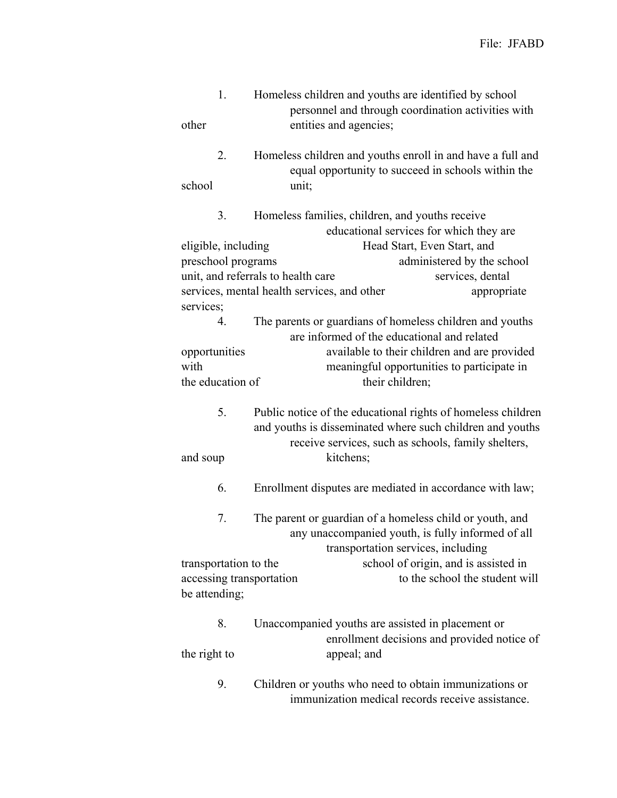| 1.<br>other               | Homeless children and youths are identified by school<br>personnel and through coordination activities with<br>entities and agencies;                                                         |
|---------------------------|-----------------------------------------------------------------------------------------------------------------------------------------------------------------------------------------------|
| 2.<br>school              | Homeless children and youths enroll in and have a full and<br>equal opportunity to succeed in schools within the<br>unit;                                                                     |
| 3.<br>eligible, including | Homeless families, children, and youths receive<br>educational services for which they are<br>Head Start, Even Start, and                                                                     |
| preschool programs        | administered by the school                                                                                                                                                                    |
|                           | unit, and referrals to health care<br>services, dental                                                                                                                                        |
|                           | services, mental health services, and other<br>appropriate                                                                                                                                    |
| services;<br>4.           | The parents or guardians of homeless children and youths<br>are informed of the educational and related                                                                                       |
| opportunities             | available to their children and are provided                                                                                                                                                  |
| with                      | meaningful opportunities to participate in                                                                                                                                                    |
| the education of          | their children;                                                                                                                                                                               |
| 5.<br>and soup            | Public notice of the educational rights of homeless children<br>and youths is disseminated where such children and youths<br>receive services, such as schools, family shelters,<br>kitchens; |
| 6.                        | Enrollment disputes are mediated in accordance with law;                                                                                                                                      |
| 7.                        | The parent or guardian of a homeless child or youth, and<br>any unaccompanied youth, is fully informed of all<br>transportation services, including                                           |
| transportation to the     | school of origin, and is assisted in                                                                                                                                                          |
| accessing transportation  | to the school the student will                                                                                                                                                                |
| be attending;             |                                                                                                                                                                                               |
| 8.                        | Unaccompanied youths are assisted in placement or<br>enrollment decisions and provided notice of                                                                                              |
| the right to              | appeal; and                                                                                                                                                                                   |
| 9.                        | Children or youths who need to obtain immunizations or<br>immunization medical records receive assistance.                                                                                    |